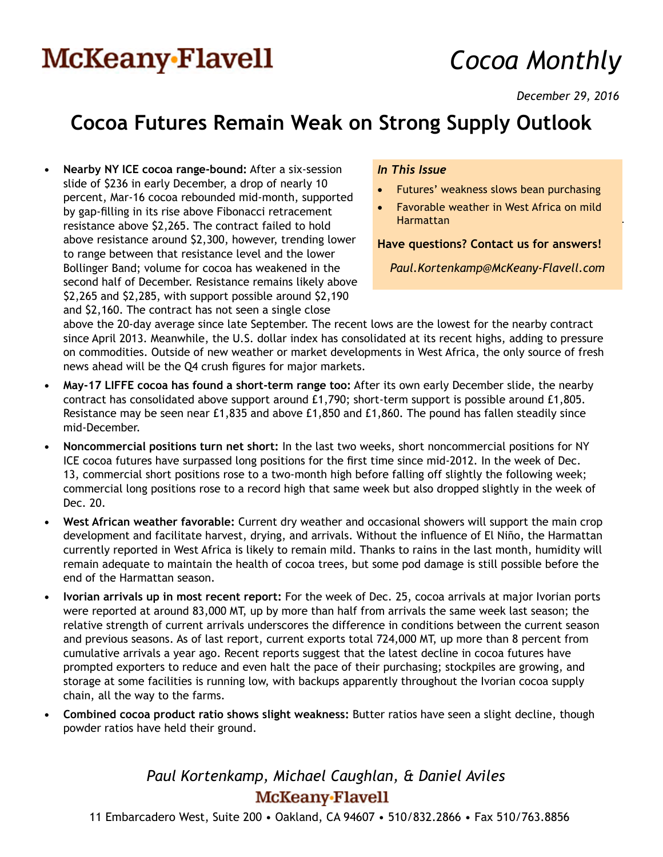# McKeany-Flavell

# *Cocoa Monthly*

*December 29, 2016*

## **Cocoa Futures Remain Weak on Strong Supply Outlook**

**Nearby NY ICE** cocoa range-bound: After a six-session slide of \$236 in early December, a drop of nearly 10 percent, Mar-16 cocoa rebounded mid-month, supported by gap-filling in its rise above Fibonacci retracement resistance above \$2,265. The contract failed to hold above resistance around \$2,300, however, trending lower to range between that resistance level and the lower Bollinger Band; volume for cocoa has weakened in the second half of December. Resistance remains likely above \$2,265 and \$2,285, with support possible around \$2,190 and \$2,160. The contract has not seen a single close

### *In This Issue*

- • Futures' weakness slows bean purchasing
- Favorable weather in West Africa on mild Harmattan

**Have questions? Contact us for answers!**

*Paul.Kortenkamp[@McKeany-Flavell.com](mailto:Bill.Pearce%40McKeany-Flavell.com?subject=Cocoa%20Inquiry)*

above the 20-day average since late September. The recent lows are the lowest for the nearby contract since April 2013. Meanwhile, the U.S. dollar index has consolidated at its recent highs, adding to pressure on commodities. Outside of new weather or market developments in West Africa, the only source of fresh news ahead will be the Q4 crush figures for major markets.

- **• May-17 LIFFE cocoa has found a short-term range too:** After its own early December slide, the nearby contract has consolidated above support around £1,790; short-term support is possible around £1,805. Resistance may be seen near £1,835 and above £1,850 and £1,860. The pound has fallen steadily since mid-December.
- **• Noncommercial positions turn net short:** In the last two weeks, short noncommercial positions for NY ICE cocoa futures have surpassed long positions for the first time since mid-2012. In the week of Dec. 13, commercial short positions rose to a two-month high before falling off slightly the following week; commercial long positions rose to a record high that same week but also dropped slightly in the week of Dec. 20.
- **• West African weather favorable:** Current dry weather and occasional showers will support the main crop development and facilitate harvest, drying, and arrivals. Without the influence of El Niño, the Harmattan currently reported in West Africa is likely to remain mild. Thanks to rains in the last month, humidity will remain adequate to maintain the health of cocoa trees, but some pod damage is still possible before the end of the Harmattan season.
- **• Ivorian arrivals up in most recent report:** For the week of Dec. 25, cocoa arrivals at major Ivorian ports were reported at around 83,000 MT, up by more than half from arrivals the same week last season; the relative strength of current arrivals underscores the difference in conditions between the current season and previous seasons. As of last report, current exports total 724,000 MT, up more than 8 percent from cumulative arrivals a year ago. Recent reports suggest that the latest decline in cocoa futures have prompted exporters to reduce and even halt the pace of their purchasing; stockpiles are growing, and storage at some facilities is running low, with backups apparently throughout the Ivorian cocoa supply chain, all the way to the farms.
- **• Combined cocoa product ratio shows slight weakness:** Butter ratios have seen a slight decline, though powder ratios have held their ground.

### *Paul Kortenkamp, Michael Caughlan, & Daniel Aviles* **McKeany-Flavell**

11 Embarcadero West, Suite 200 • Oakland, CA 94607 • 510/832.2866 • Fax 510/763.8856